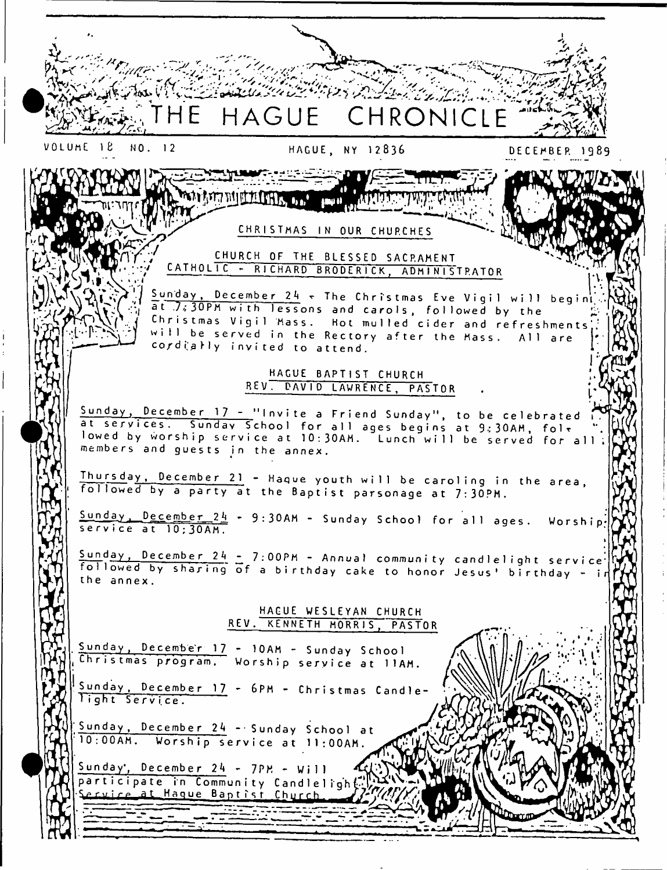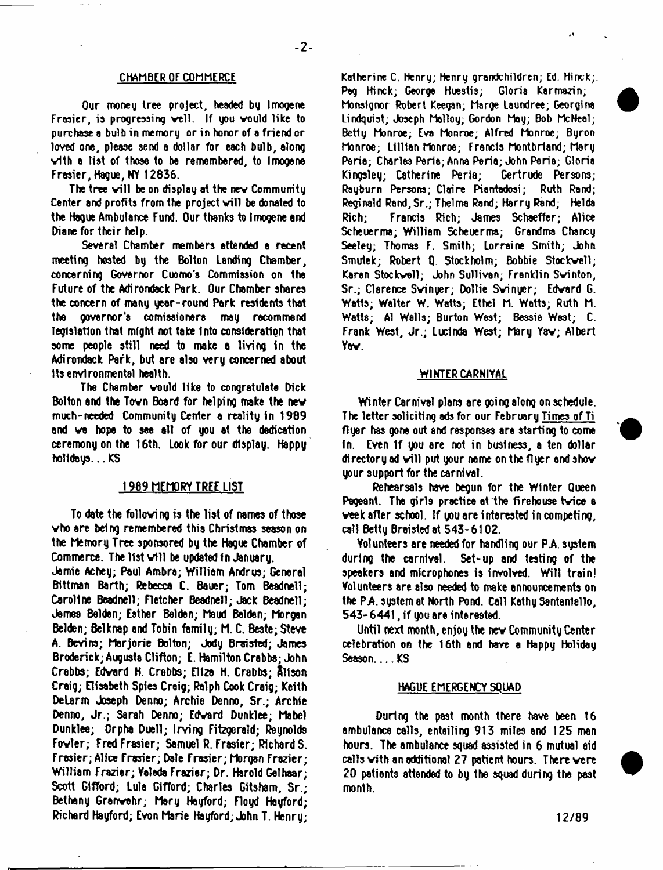## CHAMBER OF COMMERCE

Our money tree project, headed by Imogene Frasier, is progressing well. If you would like to purchase a bulb in memory or in honor of a friend or loved one, please send a dollar for each bulb, along vith a list of those to be remembered, to Imogene Frasier, Hague, NY 12836.

The tree will be on display at the new Community Center and profits from the project will be donated to the Hague Ambulance Fund. Our thanks to Imogene and Diane for their help.

Several Chamber members attended a recent meeting hosted by the Bolton Landing Chamber, concerning Governor Cuomo's Commission on the Future of the Adirondack Park. Our Chamber shares the concern of many year-round Park residents that the governor's comissioners may recommend legislation that might not take into consideration that some people still need to make a living in the Adirondack Park, but are also very concerned about Its environmental health.

The Chamber would like to congratulate Dick Bolton and the Tovn Board for helping make the nev much-needed Community Center a reality in 1989 and we hope to see all of you at the dedication ceremony on the 16th. Look for our display. Happy holidays... ICS

## 1989 MEMORY TREE LIST

To date the folloving is the list of names of those vho are being remembered this Christmas season on the Memory Tree sponsored by the Hague Chamber of Commerce. The list will be updated in January.

Jamie Achey; Paul Ambra; William Andrus; General Bittman Barth; Rebecca C. Bauer; Tom Beadnell; Caroline Beadnell; Fletcher Beadnell; Jack Beadnell; Jamas Bel dan, Esther Balden; Maud Balden; Morgan Belden; Belknap and Tobin family; M. C. Beste; Steve A. Bevins; Marjorie Bolton; Jody Brartsted; James Broderick; Augusta Clifton; E. Hamilton Crabba; John Crabbs; Edvard H. Crabbs; Eliza H. Crabbs; Rltson Craig; Elisabeth Spies Craig; Ralph Cook Craig; Keith DeLarm Joseph Denno; Archie Denno, Sr.; Archie Denno, Jr.; Sarah Denno; Edvard Dunklee; Mabel Dunklee; Orpha Duell; Irving Fitzgerald; Reynolds Fovler; Fred Frasier; Samuel R. Frasier; RlchardS. Frasier; Alice Frasier; Dale Frasier; Morgan Frazier; William Frazier; Yalada Frazier; Dr. Harold Gelhaar; Scott Gifford; Lula Gifford; Charles Gltsham, Sr.; Bethany Grenvehr; Mary Heyford; Floyd Heyford; Richard Hayford; Evon Marie Hayford; John T. Henry;

Katherine C. Henry; Henry grandchildren; Ed. Hinck;. Pag Hinck; George Huestis; Gloria Karmazin; Monslgnor Robert Keegan; Marge Laundree; Georgina Lindquist; Joseph Malloy; Gordon May; Bob McNeal; Betty Monroe; Eva Monroe; Alfred Monroe; Byron Monroe; Lillian Monroe; Francis Montbrland; Mary Peria; Charles Peria; Anna Peria; John Peria; Gloria Kingsley; Catherine Peria; Gertrude Persons; Rayburn Persons; Claire Piantadosi; Ruth Rand; Reginald Rand,Sr.; Thelma Rand; Harry Rand; Helda Rich; Francis Rich; James Schaeffer; Alice Scheuerma; William Scheuerma; Grandma Chancy Seeley; Thomas F. Smith; Lorraine Smith; John Smutek; Robert Q. Stockholm; Bobbie Stockvell; Karen Stockvell; John Sullivan; Franklin Svinton, Sr.; Clarence Svinyer; Dollie Svinyer; Edvard G. Watts; Walter W. Watts; Ethel M. Watts; Ruth M. Watts; A1 Wells; Burton West; Bessie West; C. Frank West, Jr.; Lucinda West; Mary Yav; Albert Yav.

#### WINTER CARNIVAL

Wi nter Carnival plans are ooi ng along on schedule. The letter soliciting ads for our February Times of Ti flyer has gone out and responses are starting to come in. Even 1f you are not in business, a ten dollar directory ad will put your name on the flyer and show your support for the carnival.

Rehearsals have begun for the Winter Queen Pageant. The girls practice at the firehouse tvice a veek after school. If you are interested in competing, call Betty Braisted at 543- 6102.

Volunteers are needed for handling our PA. system during the carnival. Set-up and testing of the speakers and microphones is involved. Will train! Volunteers are also needed to make announcements on the PA. system at North Pond. Call Kathy Santanlello, 543- 6441, if you are interested.

Until next month, enjoy the nev Community Center celebration on the 16th and have a Happy Holiday Season KS

#### HAGUE EMERGENCY SQUAD

During the past month there have been 16 ambulance calls, entailing 913 miles end 125 man hours. The ambulance squad assisted in 6 mutual aid calls vith an additional 27 patient hours. There vere 20 patients attended to by the squad during the past month.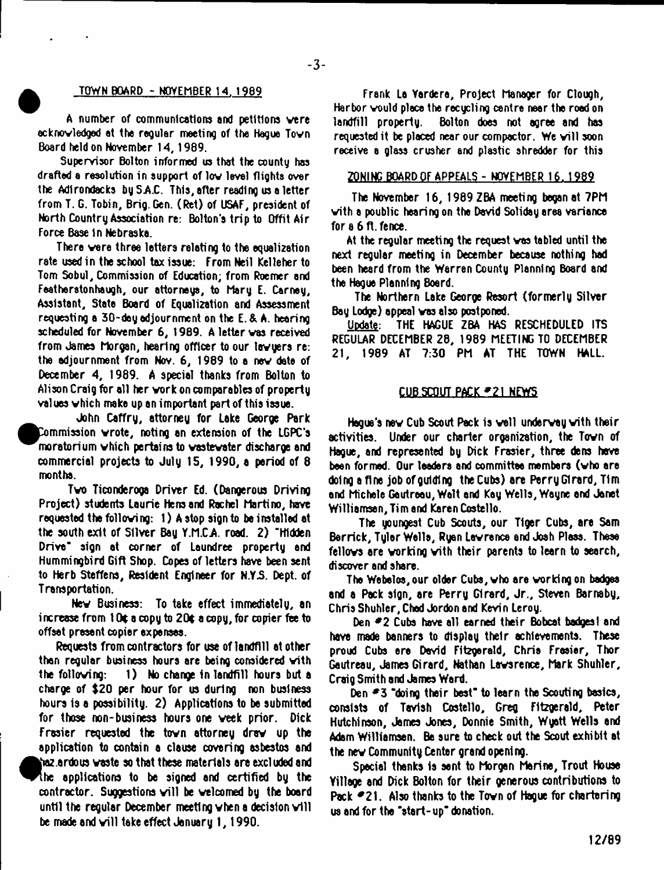#### ^ TOWN BOARD - NOVEMBER 14. 1989

**-3-**

A number of communications and petitions vere ecknovledged at the regular meeting of the Hague Tovn Board held on November 14,1989.

Supervisor Bolton informed us that the county has drafted a resolution in support of lov level flights over the Adirondacks by S.A.C. This, after reading us a letter from T. G. Tobin, Brig. Gen. (Ret) of USAF, president of North Country Association re: Bolton's trip to Offit Air Force Base 1n Nebraska.

There vere three letters relating to the equalization rate used in the school tax issue: From Neil Kelleher to Tom Sobul, Commission of Education; from Roemer and Featherstonhaugh, our attorneys, to Mary E. Carney, Assistant, State Board of Equalization and Assessment requesting a 30-doy adjournment on the E. & A. hearing scheduled for November 6, 1989. A letter vas received from James Morgan, hearing officer to our tavyers re: the adjournment from Nov. 6, 1989 to a nev date of December 4, 1989. A special thanks from Bolton to Alison Craig for all her vork on comparables of property values vhich make up an important part of this issue.

\_ John Caffry, attorney for Lake George Park Commission wrote, noting an extension of the LGPC's  $\,$ ^^m oratorium vhich pertains to vastevater discharge and commercial projects to July 15, 1990, a period of 8 months.

Tvo Ticonderoga Driver Ed. (Dangerous Driving Project) students Laurie Hens and Rachel Martino, have requested the folloving: 1) A stop sign to be installed at the south exit of Silver Bay Y.M.CA road. 2) 'Hidden Drive" sign at corner of Laundree property and Hummingbird Gift Shop. Copes of letters have been sent to Herb Steffens, Resident Engineer for N.Y3. Dept, of Transportation.

Nev Business: To take effect immediately, an increase from  $10t$  a copy to  $20t$  a copy, for copier fee to offset present copier expenses.

Requests from contractors for use of landfill at other than regular business hours are being considered vith the folloving: 1) No change in landfill hours but a charge of \$20 per hour for us during non business hours Is a possibility. 2) Applications to be submitted for those non-business hours one veek prior. Dick Frasier requested the tovn attorney drev up the application to contain a clause covering asbestos and  $\bullet$ haz ardous vaste so that these materials are excluded and [he applications to be signed and certified by the contractor. Suggestions will be welcomed by the board until the regular December meeting when a decision will be made and will take effect January 1, 1990.

Frank La Yardere, Project Manager for Clough, Harbor vould place the recycling centre near the road on landfill property. Bolton does not agree end has requested it be placed near our compactor. We will soon receive a glass crusher and plastic shredder for this

#### ZONING BOARD OF APPEALS - NOVEMBER 16.1989

The November 16, 1989 ZBA meeting began at 7PM vith a poublic hearing on the Devid Soliday area variance for a 6 ft. fence.

At the regular meeting the request vas tabled until the next regular meeting in December because nothing had been heard from the Warren County Planning Board and the Hague Planning Boerd.

The Northern Lake George Resort (formerly Silver Bay Lodge) eppeal vas also postponed.

Update: THE HAGUE ZBA HAS RESCHEDULED ITS REGULAR DECEMBER 28, 1989 MEETING TO DECEMBER 21, 1989 AT 7:30 PM AT THE TOWN HALL.

### CUB SCOUT PACK \*21 NEWS

Hague's nev Cub Scout Pack is veil undervay vith their activities. Under our charter organization, the Tovn of Hague, and represented by Dick Frasier, three dens hove been formed. Our leaders and committee members (who are doing a fine job of guiding the Cute) are Perry Girard, Tim end Michele Geutreeu, Walt end Kay Wells, Wayne end Janet Williamsen,Timend Karen Costello.

The youngest Cub Scouts, our Tiger Cubs, are Sam Berrick, Tyler Walls, Ryan Levrence end Josh Pleas. These fellows are working with their parents to learn to search, discover and share.

The Webelos,our older Cute, vho are vorking on badges and a Pack sign, are Perry Girard, Jr., Steven Barnaby, Chris Shuhler, Chad Jordon and Kevin Leroy.

Den **\*2** Cubs have all earned their Bobcat badges! and have made banners to display their achievements. These proud Cute ere Devid Fitzgerald, Chria Frasier, Thor Gautreau, James Girard, Nathan Lavsrence, Mark Shuhler, Craig Smith and James Ward.

Den \*3 "doing their best" to leern the Scouting basics, consists of Tavlsh Costello, Greg Fitzgerald, Peter Hutchinson, James Jones, Donnie Smith, Wyett Wells end Adam Williamsen. Ba sure to check out the Scout exhibit at the nev Community Center grand opening.

Special thanks Is sent to Morgen Marine, Trout House Yillage and Dick Bolton for their generous contributions to Pack  $\blacktriangleright$  21. Also thanks to the Town of Hague for chartering us and for the "start-up" donation.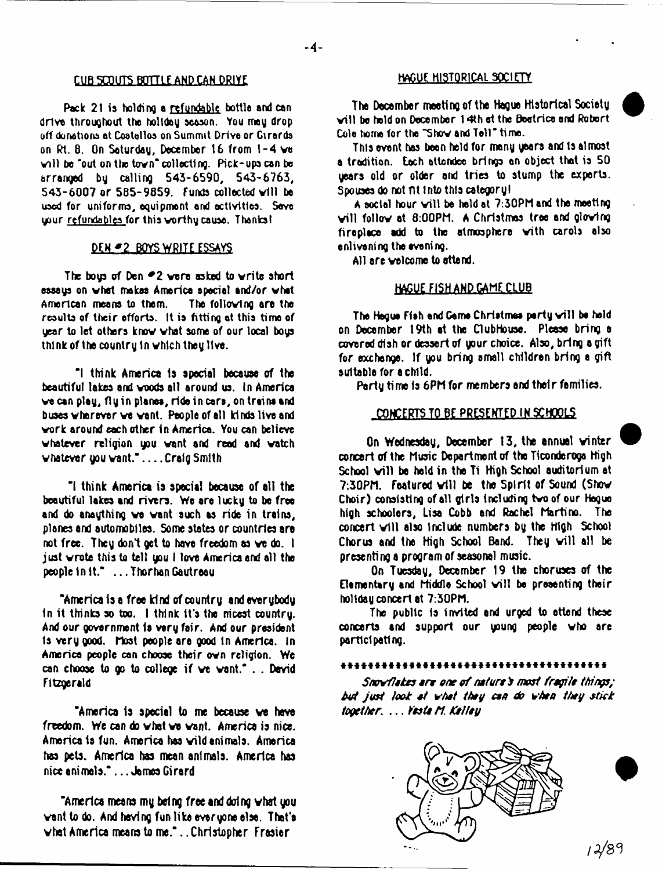# **CUB SCOUTS BOTTLE AND CAN DRIVE HAGUE HISTORICAL SOCIETY**

Pack 21 is holding a refundable bottla and can drive throughout the holiday season. You may drop off donations at Costellos on Summit Drive or Girards on Rt. 8. On Saturday, December 16 from 1-4 ve v ill be "out on the town"collecting. Pick-ups can be arranged by calling 543-6590, 543-6763, 543-6007 or 585-9859. Funds collected will be used for uniforms, equipment and activities. Save uour refundables for this worthy cause. Thanksl

## DEN. **\* 2 BOYS WRITE ESSAYS**

The bous of Den  $-2$  were asked to write short essays on what makes America special and/or what<br>American means to them. — The following are the American means to them. results of their efforts. It is fitting at this time of gear to let others know vhat some of our local bogs think of the country 1n which they live.

\*1 think America Is special because of the beautiful lakes and voods all around us. In America ve can play, fly in planes, rids in cars, on trains and buses wherever ve vent. People of all kinds live and vork around each other In America. You can believe whatever religion you want and read and watch whatever you want." . . . . Craig Smith

\*1 think America is special because of all the beautiful lakes and rivers. We are lucky to be free and do anaything wa want such as ride in trains, planes and automobiles. Some states or countries are not free. They don't get to have freedom as we do. I just wrote this to tell you I love America and all the people In It." ...ThorhanGautreau

' America Is a free kind of country and everybody In it thinks so too. I think It's the nicest country. And our government la vary fair. And our president Is very good, host people are good In America. In America people con choose their own religion. We can choose to go to college if ve want." . . Devid Fitzgerald

"America is special to me because we have freedom. We can do what we want. America is nice. America la fun. America has wild animals. America has pets. America has mean animals. America has nice animals." .. .James Girard

'America means my being free and doing what you want to do. And having fun like everyone else. That's what America means to me.\*. .Christopher Frasier

The December meeting of the Hague Historical Society w ill bo held on December 14th at the Beatrice end Rotwrt Cole home for the "Show and Tell" time.

This event has been held for many years and Is almost a tradition, tech attendee brings en object that is 50 years old or older and tries to stump the experts. Spouses do not nt into this category I

A social hour will be held at 7:30PM and the meeting will follow at 8:00PM. A Christmas tree and glowing fireplace add to the atmosphere with carols also enlivening the evening.

All are welcome to attend.

## HAGUE FISH AND CAME CLUB

The Hegue Fieh and Game Christmas party will be held on December 19th at the Clubhouse. Please bring e covered dish or dessert of your choice. Also, bring a gift for exchange. If you bring small children bring a gift suitable for a child.

Party time Is 6PM for members and their families.

## CONCERTS TO BE PRESENTED IN SCHOOLS

On Wednesday, December 13, the annual winter concert of the Music Department of the Ticonderoga High School will be held in the Ti High School auditorium at 7:30PM. Featured will be the Spirit of Sound (Show Choir) consisting of all girls Including two of our Hegue high schoolers, Lisa Cobb and Rachel Martino. The concert will also include numbers by the High School Chorus and the High School Band. They will all be presenting a program of seasonal music.

On Tuesday, December 19 the choruses of the Elementary and Middle School will be presenting their holiday concert at 7:30PM.

The public is invited and urged to ettend these concerts and support our young people who are participating.

#### 

Snovflokes are one of nature's most fragile things; *hot jost took \*t vhet they cen do vheo they stick together*. ... *Vests ti. KelJey*

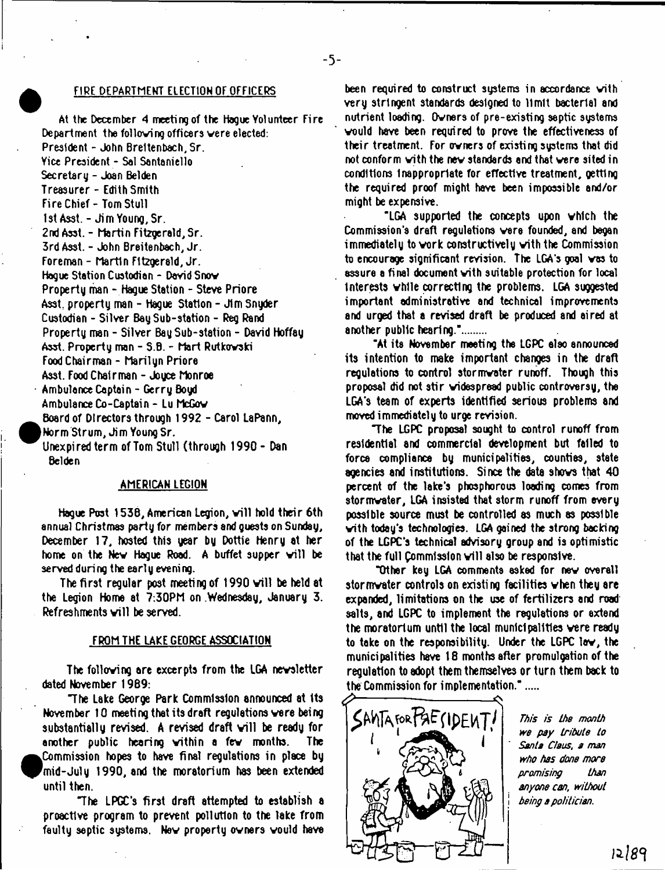#### FlRE DEPARTMENT ELECTION OF OFFICERS

At the December 4 meeti ng of the Hogue Yol urrteer Fi re Department the folloving officers vere elected: President - John Breltenbach, Sr. Yice President - Sal Santaniello Secretary - Joan Belden Treasurer - Edith Smith Fire Chief - Tom Stull 1st Asst. - Jim Young, Sr. 2nd Asst. - Martin Fitzgerald, Sr. 3rd Asst. - John Breitenbach, Jr. Foreman - Martin Fitzgerald, Jr. Hogue Station Custodian - David Snov Property man - Hague Station - Steve Priore Asst property man - Hague Station - Jim Snyder Custodian - Silver Bay Sub-station - Reg Rand Property man - Silver Bay Sub-station - David Hoffay Asst. Property man - S.B. - Mart Rutkovski Food Chairman - Marilyn Priore Asst. Food Chairman - Joyce Monroe Ambulance Captain - Gerry Boyd Ambulance Co-Captain - Lu McGov Board of Directors through 1992 - Carol LaPann, I Worm Strum, Jim Young Sr. Unexpi red term of Tom Stull (through 1990 - Dan Belden

#### AMERICAN LEGION

Hague Post 1538, American Legion, will hold their 6th annual Christmas party for members and guests on Sunday, December 17, hosted this year by Dottie Henry at her home on the New Hague Road. A buffet supper will be served during the early evening.

The first regular post meeting of 1990 will be held at the Legion Home at 7:30PM on .Wednesday, January 3. Refreshments will be served.

## FROM THE LAKE GEORGE ASSOCIATION

The folloving are excerpts from the LGA nevsletter dated November 1989:

'The Lake George Park Commission announced at Its November 10 meeting that its draft regulations vere being substantially revised. A revised draft will be ready for another public hearing vithin a fev months. The .Commission hopes to have final regulations in place bg 'mid-July 1990, and the moratorium has been extended until then.

"The LPGC's first draft attempted to establish a proactive program to prevent pollution to the take from faulty septic systems. Nev property ovners vould have

been required to construct systems in accordance vith very stringent standards designed to limit bacterial and nutrient loading. Ovners of pre-existing septic systems vould have been required to prove the effectiveness of their treatment. For ovners of existing systems that did not conform vith the nev standards and that vere sited in conditions Inappropriate for effective treatment, getting the required proof might have been impossible and/or might be expensive.

"LGA supported the concepts upon vhich the Commission's draft regulations vere founded, end began immediately to work constructively with the Commission to encourage significant revision. The LGA's goal vas to assure a final document vith suitable protection for local interests vhlle correcting the problems. LGA suggested important administrative and technical improvements and urged that a revised draft be produced and aired at another public hearing.".......

"At its November meeting the LGPC also announced its intention to make important changes in the draft regulations to control stormvater runoff. Though this proposal did not stir vidospread public controversy, the LGA's team of experts identified serious problems and moved immediately to urge revision.

The LGPC proposal sought to control runoff from residential and commercial development but failed to force compliance by municipalities, counties, state agencies and institutions. Since the data shovs that 40 percent of the lake's phosphorous loading comes from stormvater, LGA insisted that storm runoff from everg possible source must be controlled as much as possible vith today's technologies. LGA gained the strong backing of the LGPC's technical advisory group and is optimistic that the full Commission will also be responsive.

"Other key LGA comments asked for nev overall stormvater controls on existing facilities vhen they are expanded, limitations on the use of fertilizers and road salts, and LGPC to implement the regulations or extend the moratorium until the local municipalities vere ready to take on the responsibility. Under the LGPC lav, the municipalities have 18 months after promulgation of the regulation to adopt them themselves or turn them back to the Commission for implementation."....



*This is the month we pay tribute to Santa Claus, a man who has done more promising than anyone can, without being a politician.*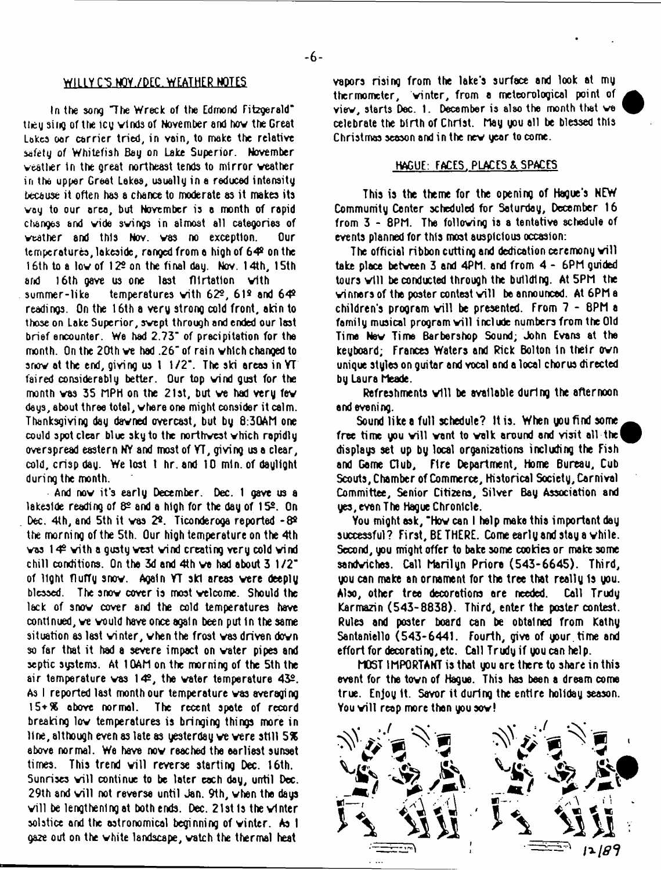## WILLY C'S NOY./DEC. WEATHER NOTES

In the song The Wreck of the Edmond Fitzgerald" ttey sing of the icy vinds of November and hov the Great Lakes oar carrier tried, in vain, to make the relative safety of Whitefish Bay on Lake Superior. November weather in the great northeast tends to mirror weather in the upper Great Lakes, usually in a reduced intensity because it often has a chance to moderate as it makes its voy to our area, but November is a month of rapid changes and vide swings in almost all categories of weather and this Nov. was no exception. Our temperatures, lakeside, ranged from a high of 64º on the 16th to a low of 122 on the final day. Nov. 14th, 15th and 16th gave us one last flirtation with summer-like temperatures with  $62<sup>2</sup>$ , 61 $<sup>2</sup>$  and 64 $<sup>2</sup>$ </sup></sup> readings. On the 16th a very strong cold front, akin to those on Lake Superior, swept through and ended our last brief encounter. We had 2.73<sup>t</sup> of precipitation for the month. On the 20th ve had .26\* of rain which changed to snow at the end, giving us 1 1/2\*. The ski areas in YT faired considerably better. Our top wind gust for the month vas 35 MPH on the 21st, but ve had very few days, about three total, where one might consider it calm. Thanksgiving day dawned overcast, but by 8:30AM one could spot clear blue sky to the northwest which rapidly overspread eastern NY and most of YT, giving us a clear, cold, crisp day. We lost 1 hr. and 10 mln. of daylight during the month.

And now it's early December. Dec. 1 gave us a lakeside reading of  $8^\circ$  and a high for the day of  $15^\circ$ . On Dec. 4th, and 5th it was 2º. Ticonderoga reported -8º the morning of the 5th. Our high temperature on the 4th was  $14^{\circ}$  with a gusty west wind creating very cold wind chill conditions. On the 3d and 4th ve had about 3 1/2\* of light flufTy snow. Again YT ski areas vere deeply blessed. The snow cover is most welcome. Should the lack of snow cover and the cold temperatures have continued, we vould have once again been put In the same situation as lest winter, when the frost vas driven down so far that it had a severe impact on water pipes and septic systems. At 10AM on the morning of the 5th the air temperature vas 142, the water temperature 432. As I reported last month our temperature was averaging 15+9K above normal. The recent spate of record breaking low temperatures is bringing things more in line, although even as late as yesterday ve vere still 5% above normal. We have now reached the earliest sunset times. This trend will reverse starting Dec. 16th. Sunrises will continue to be later each day, until Dec. 29th and will not reverse until Jan. 9th, when the days will be lengthening at both ends. Dec. 21st is the winter solstice and the astronomical beginning of winter. As I ga2e out on the white landscape, watch the thermal heat

vapors rising from the lake's surface and look at my thermometer, winter, from a meteorological point of view, starts Dec. 1. December is also the month that we celebrate the birth of Christ. May you all be blessed this Christmas season and in the nev year to come.

## HAGUE: FACES. PLACES & SPACES

This is the theme for the opening of Hague's NEW Community Center scheduled for Saturday, December 16 from 3 - 8PM. The following is a tentative schedule of events planned for this most auspicious occasion:

The official ribbon cutting and dedication ceremony will take place betveen 3 and 4PM. and from 4 - 6PM guided tours will be conducted through the building. At 5PM the winners of the poster contest will be announced. At 6PM a children's program will be presented. From  $7 - 8$ PM a family musical program will include numbers from the Old Time Nev Time Barbershop Sound; John Evans at the keyboard; Frances Waters and Pick Bolton in their own unique styles on guitar end vocal and a local chorus directed by Laura Meade.

Refreshments will be available during the afternoon end evening.

Sound like a full schedule? It is. When you find some free time you will want to walk around and visit all the! displays set up by local organizations including the Fish and Game Club, F1re Department, Home Bureau, Cub Scouts, Chamber of Commerce, Historical Society, Carnival Committee, Senior Citizens, Silver Bay Association and yes, even The Hague Chronicle.

You might ask, "Hov can I help make this important day successful? First, BE THERE. Come early and stay a vhile. Second, you might offer to bake some cookies or make some sandviches. Call Marilyn Priore (543-6645). Third, you can make an ornament for the tree that really Is you. Also, other tree decorations are needed. Call Trudy Karmazin (543-8838). Third, enter the pester contest. Rules and poster board can be obtained from Kathy Santaniello (543-6441. Fourth, give of your, time and effort for decorating, etc. Call Trudy if you can help.

MOST IMPORTANT is that you are there to share in this event for the tovn of Hague. This has bean a dream come true. Enjoy It. Savor it during the entire holiday season. You will reap more than you sow!



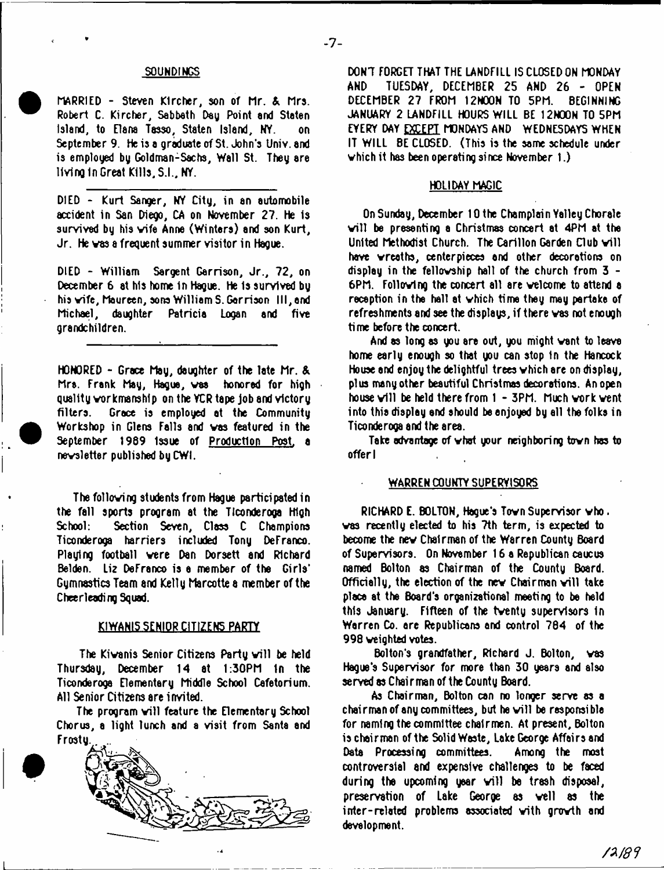### SQUNDIMGS

HARRIED - Steven Klrcher, son of Mr. & Mrs. Robert C. Kircher, Sabbath Day Point and Staten Island, to Elana Tasso, Staten Island, NY. on September 9. he is a graduate of St. John's Univ. and is employed by Goldman-Sachs, Wall St. They are living In Great Kills, S.I., NY.

DIED - Kurt Sanger, NY City, in an automobile accident in San Diego, CA on November 27. He is survived by his vife Anne (Winters) and son Kurt, Jr. He vas a frequent summer visitor in Hague.

DIED - William Sargent Garrison, Jr., 72, on December 6 at his home In Hague. He Is survived by his vife, Maureen, sons William S. Garrison III, and Michael, daughter Patricia Logan and five grandchildren.

HONORED - Grace May, daughter of the late Mr. & Mrs. Frank May, Hague, vas honored for high quality workmanship on the YCR tape job and victory filters. Grace is employed at the Community Workshop in Glens Falls and vas featured in the September 1989 Issue of Production Post, a nevsletter published by CWt.

The folloving students from Hague participated in the fall sports program at the Ticonderoga High<br>School: Section Seven, Class C. Champions Section Seven, Class C Champions Ticonderoga harriers included Tony Defranco. Playing football vere Dan Dorsett and Richard Belden. Liz DeFranco is a member of the Girls' Gymnastics Team and Kelly Marcotte a member of the Cheerleading Squad.

### KIWANI5 SENIOR CITIZENS PARTY

The Kiwanis Senior Citizens Party will be held Thursday, December 14 at 1:30PM In the Ticonderoga Elementary Middle School Cefetorium. All Senior Citizens are invited.

The program will feature the Elementary School Chorus, a light lunch and a visit from Santa and Frosty.



L

DON'T FORGET THAT THE LANDFILL IS CLOSED ON MONDAY AND TUESDAY, DECEMBER 25 AND 26 - OPEN DECEMBER 27 FROM I2MOON TO 5PM. BEGINNING JANUARY 2 LANDFILL HOURS WILL BE 12N00N TO 5PM EYERY DAY EXCEPT MONDAYS AND WEDNESDAYS WHEN IT WILL BE CLOSED. (This is the same schedule under which it has been operating since November  $1.$ )

#### HOLIDAY MAGIC

On Sunday, December 10 the Champlain Yalley Chorale will be presenting a Christmas concert at 4PM at the United Methodist Church. The Carillon Garden Club will have vreaths, centerpieces and other decorations on display in the fellovship hall of the church from 3 - 6PM. Folloving the concert all are velcome to attend a reception in the hall at vhich time they may partake of refreshments and see the displays, if there vas not enough time before the concert.

And as long as you are out, you might vent to leave home early enough so that you can stop in the Hancock House and enjoy the delightful trees vhich are on display, plus many other beautiful Christmas decorations. An open house will be held there from  $1 - 3$ PM. Much work went into this display end should be enjoyed by ell the folks in Ticonderooa and the area.

Take advantage of vhat your neighboring tovn has to offer I

## WARREN COUNTY SUPERVISORS

RICHARD E. BOLTON, Hague's Tovn Supervisor vho. vas recently elected to his 7th term, is expected to become the nev Chairman of the Warren County Board of Supervisors. On November 16 a Republican caucus named Bolton as Chairman of the County Board. Officially, the election of the new Chairman will take place at the Board's organizational meeting to be held this January. Fifteen of the tventy supervisors In Warren Co. ere Republicans and control 764 of the 998 weighted votes.

Bolton's grandfather, Richard J. Bolton, vas Hague's Supervisor for more than 30 years and also served as Chair man of the County Board.

As Chairman, Bolton can no longer serve as a chairman of any committees, but he will be responsible for naming the committee chairmen. At present, Bolton is chairman of the Solid Waste, Lake George Affairs and Data Processing committees. Among the most controversial and expensive challenges to be faced during the upcoming year will be trash disposal, preservation of Lake George as veil as the inter-related problems associated vith growth and development.